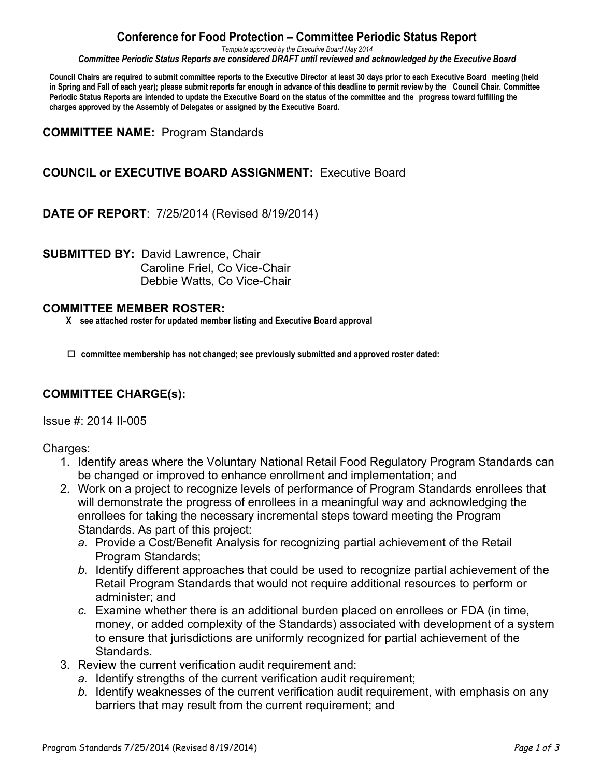# **Conference for Food Protection – Committee Periodic Status Report**

*Template approved by the Executive Board May 2014*

*Committee Periodic Status Reports are considered DRAFT until reviewed and acknowledged by the Executive Board*

Council Chairs are required to submit committee reports to the Executive Director at least 30 days prior to each Executive Board meeting (held in Spring and Fall of each year); please submit reports far enough in advance of this deadline to permit review by the Council Chair. Committee Periodic Status Reports are intended to update the Executive Board on the status of the committee and the progress toward fulfilling the **charges approved by the Assembly of Delegates or assigned by the Executive Board.**

**COMMITTEE NAME:** Program Standards

## **COUNCIL or EXECUTIVE BOARD ASSIGNMENT:** Executive Board

**DATE OF REPORT**: 7/25/2014 (Revised 8/19/2014)

**SUBMITTED BY:** David Lawrence, Chair Caroline Friel, Co Vice-Chair Debbie Watts, Co Vice-Chair

#### **COMMITTEE MEMBER ROSTER:**

 **X see attached roster for updated member listing and Executive Board approval**

 $\Box$  committee membership has not changed; see previously submitted and approved roster dated:

### **COMMITTEE CHARGE(s):**

#### Issue #: 2014 II-005

Charges:

- 1. Identify areas where the Voluntary National Retail Food Regulatory Program Standards can be changed or improved to enhance enrollment and implementation; and
- 2. Work on a project to recognize levels of performance of Program Standards enrollees that will demonstrate the progress of enrollees in a meaningful way and acknowledging the enrollees for taking the necessary incremental steps toward meeting the Program Standards. As part of this project:
	- *a.* Provide a Cost/Benefit Analysis for recognizing partial achievement of the Retail Program Standards;
	- *b.* Identify different approaches that could be used to recognize partial achievement of the Retail Program Standards that would not require additional resources to perform or administer; and
	- *c.* Examine whether there is an additional burden placed on enrollees or FDA (in time, money, or added complexity of the Standards) associated with development of a system to ensure that jurisdictions are uniformly recognized for partial achievement of the Standards.
- 3. Review the current verification audit requirement and:
	- *a.* Identify strengths of the current verification audit requirement;
	- *b.* Identify weaknesses of the current verification audit requirement, with emphasis on any barriers that may result from the current requirement; and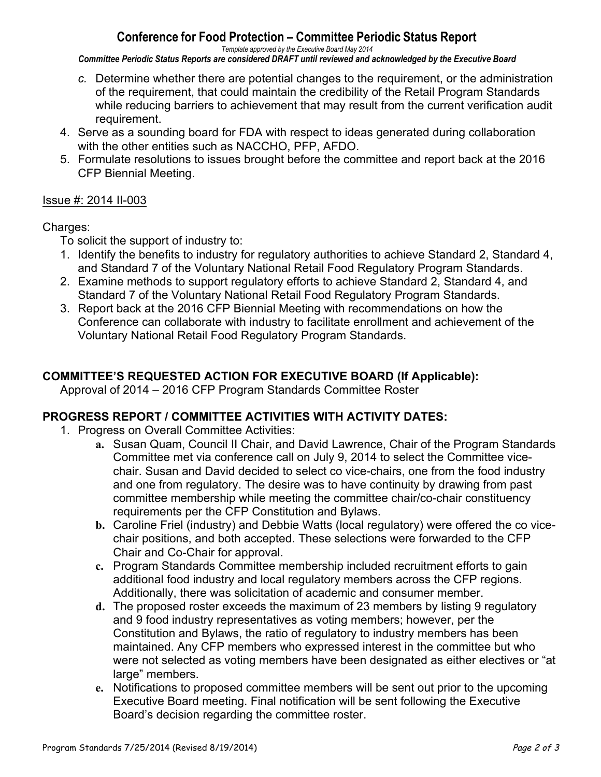# **Conference for Food Protection – Committee Periodic Status Report**

*Template approved by the Executive Board May 2014*

*Committee Periodic Status Reports are considered DRAFT until reviewed and acknowledged by the Executive Board*

- *c.* Determine whether there are potential changes to the requirement, or the administration of the requirement, that could maintain the credibility of the Retail Program Standards while reducing barriers to achievement that may result from the current verification audit requirement.
- 4. Serve as a sounding board for FDA with respect to ideas generated during collaboration with the other entities such as NACCHO, PFP, AFDO.
- 5. Formulate resolutions to issues brought before the committee and report back at the 2016 CFP Biennial Meeting.

### Issue #: 2014 II-003

### Charges:

- To solicit the support of industry to:
- 1. Identify the benefits to industry for regulatory authorities to achieve Standard 2, Standard 4, and Standard 7 of the Voluntary National Retail Food Regulatory Program Standards.
- 2. Examine methods to support regulatory efforts to achieve Standard 2, Standard 4, and Standard 7 of the Voluntary National Retail Food Regulatory Program Standards.
- 3. Report back at the 2016 CFP Biennial Meeting with recommendations on how the Conference can collaborate with industry to facilitate enrollment and achievement of the Voluntary National Retail Food Regulatory Program Standards.

## **COMMITTEE'S REQUESTED ACTION FOR EXECUTIVE BOARD (If Applicable):**

Approval of 2014 – 2016 CFP Program Standards Committee Roster

### **PROGRESS REPORT / COMMITTEE ACTIVITIES WITH ACTIVITY DATES:**

- 1. Progress on Overall Committee Activities:
	- **a.** Susan Quam, Council II Chair, and David Lawrence, Chair of the Program Standards Committee met via conference call on July 9, 2014 to select the Committee vicechair. Susan and David decided to select co vice-chairs, one from the food industry and one from regulatory. The desire was to have continuity by drawing from past committee membership while meeting the committee chair/co-chair constituency requirements per the CFP Constitution and Bylaws.
	- **b.** Caroline Friel (industry) and Debbie Watts (local regulatory) were offered the co vicechair positions, and both accepted. These selections were forwarded to the CFP Chair and Co-Chair for approval.
	- **c.** Program Standards Committee membership included recruitment efforts to gain additional food industry and local regulatory members across the CFP regions. Additionally, there was solicitation of academic and consumer member.
	- **d.** The proposed roster exceeds the maximum of 23 members by listing 9 regulatory and 9 food industry representatives as voting members; however, per the Constitution and Bylaws, the ratio of regulatory to industry members has been maintained. Any CFP members who expressed interest in the committee but who were not selected as voting members have been designated as either electives or "at large" members.
	- **e.** Notifications to proposed committee members will be sent out prior to the upcoming Executive Board meeting. Final notification will be sent following the Executive Board's decision regarding the committee roster.